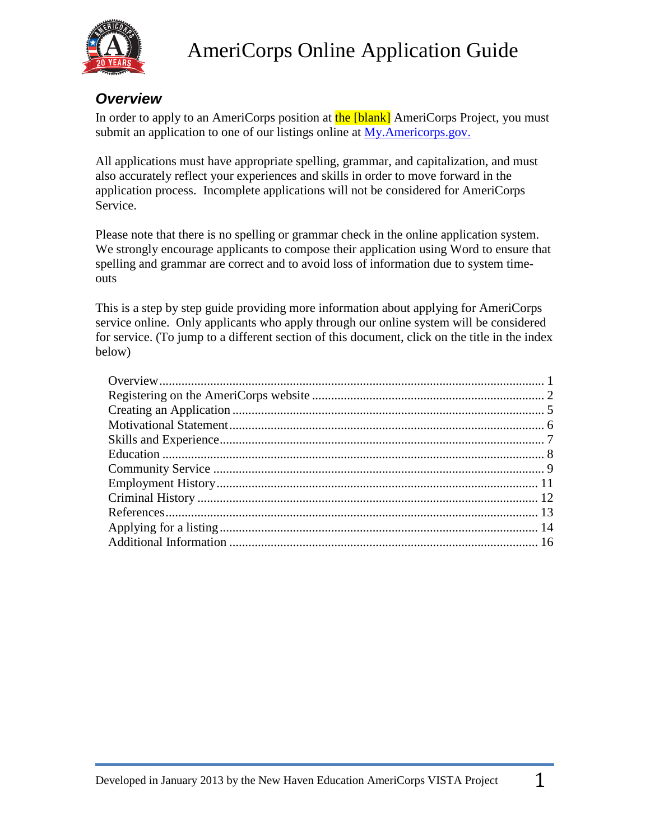

### <span id="page-0-0"></span>*Overview*

In order to apply to an AmeriCorps position at the [blank] AmeriCorps Project, you must submit an application to one of our listings online at [My.Americorps.gov.](http://my.americorps.gov/)

All applications must have appropriate spelling, grammar, and capitalization, and must also accurately reflect your experiences and skills in order to move forward in the application process. Incomplete applications will not be considered for AmeriCorps Service.

Please note that there is no spelling or grammar check in the online application system. We strongly encourage applicants to compose their application using Word to ensure that spelling and grammar are correct and to avoid loss of information due to system timeouts

This is a step by step guide providing more information about applying for AmeriCorps service online. Only applicants who apply through our online system will be considered for service. (To jump to a different section of this document, click on the title in the index below)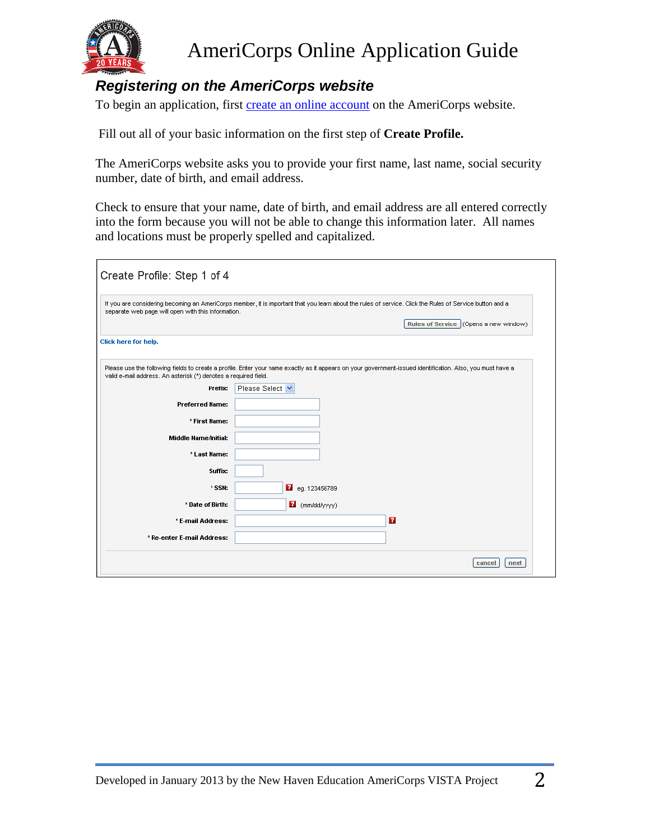

### <span id="page-1-0"></span>*Registering on the AmeriCorps website*

To begin an application, first [create an online account](https://my.americorps.gov/mp/recruit/registration.do) on the AmeriCorps website.

Fill out all of your basic information on the first step of **Create Profile.** 

The AmeriCorps website asks you to provide your first name, last name, social security number, date of birth, and email address.

Check to ensure that your name, date of birth, and email address are all entered correctly into the form because you will not be able to change this information later. All names and locations must be properly spelled and capitalized.

| Create Profile: Step 1 of 4                                     |                                                                                                                                                                                                   |
|-----------------------------------------------------------------|---------------------------------------------------------------------------------------------------------------------------------------------------------------------------------------------------|
| separate web page will open with this information.              | If you are considering becoming an AmeriCorps member, it is important that you learn about the rules of service. Click the Rules of Service button and a<br>Rules of Service (Opens a new window) |
| Click here for help.                                            |                                                                                                                                                                                                   |
| valid e-mail address. An asterisk (*) denotes a required field. | Please use the following fields to create a profile. Enter your name exactly as it appears on your government-issued identification. Also, you must have a                                        |
| Prefix:                                                         | Please Select V                                                                                                                                                                                   |
| <b>Preferred Name:</b>                                          |                                                                                                                                                                                                   |
| * First Name:                                                   |                                                                                                                                                                                                   |
| <b>Middle Name/Initial:</b>                                     |                                                                                                                                                                                                   |
| * Last Name:                                                    |                                                                                                                                                                                                   |
| Suffix:                                                         |                                                                                                                                                                                                   |
| * SSN:                                                          | Peg. 123456789                                                                                                                                                                                    |
| * Date of Birth:                                                | $\mathbf{B}$ (mm/dd/yyyy)                                                                                                                                                                         |
| * E-mail Address:                                               | $\mathbf{P}$                                                                                                                                                                                      |
| * Re-enter E-mail Address:                                      |                                                                                                                                                                                                   |
|                                                                 | cancel<br>next                                                                                                                                                                                    |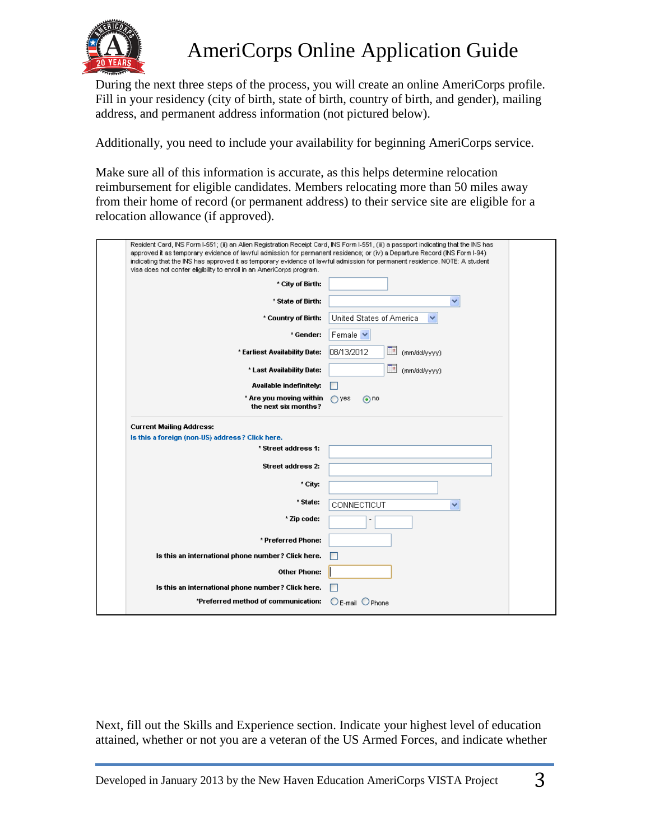

During the next three steps of the process, you will create an online AmeriCorps profile. Fill in your residency (city of birth, state of birth, country of birth, and gender), mailing address, and permanent address information (not pictured below).

Additionally, you need to include your availability for beginning AmeriCorps service.

Make sure all of this information is accurate, as this helps determine relocation reimbursement for eligible candidates. Members relocating more than 50 miles away from their home of record (or permanent address) to their service site are eligible for a relocation allowance (if approved).

| Resident Card, INS Form I-551; (ii) an Alien Registration Receipt Card, INS Form I-551, (iii) a passport indicating that the INS has<br>approved it as temporary evidence of lawful admission for permanent residence; or (iv) a Departure Record (INS Form I-94)<br>indicating that the INS has approved it as temporary evidence of lawful admission for permanent residence. NOTE: A student<br>visa does not confer eligibility to enroll in an AmeriCorps program. |                                  |
|-------------------------------------------------------------------------------------------------------------------------------------------------------------------------------------------------------------------------------------------------------------------------------------------------------------------------------------------------------------------------------------------------------------------------------------------------------------------------|----------------------------------|
| * City of Birth:                                                                                                                                                                                                                                                                                                                                                                                                                                                        |                                  |
| * State of Birth:                                                                                                                                                                                                                                                                                                                                                                                                                                                       | v                                |
| * Country of Birth:                                                                                                                                                                                                                                                                                                                                                                                                                                                     | United States of America<br>×    |
| * Gender:                                                                                                                                                                                                                                                                                                                                                                                                                                                               | Female V                         |
| * Earliest Availability Date:                                                                                                                                                                                                                                                                                                                                                                                                                                           | n,<br>08/13/2012<br>(mm/dd/yyyy) |
| * Last Availability Date:                                                                                                                                                                                                                                                                                                                                                                                                                                               | −<br>(mm/dd/yyyy)                |
| Available indefinitely:                                                                                                                                                                                                                                                                                                                                                                                                                                                 |                                  |
| * Are you moving within<br>the next six months?                                                                                                                                                                                                                                                                                                                                                                                                                         | $\bigcirc$ yes<br>$\odot$ no     |
| <b>Current Mailing Address:</b><br>Is this a foreign (non-US) address? Click here.<br>* Street address 1:                                                                                                                                                                                                                                                                                                                                                               |                                  |
| Street address 2:                                                                                                                                                                                                                                                                                                                                                                                                                                                       |                                  |
| * City:                                                                                                                                                                                                                                                                                                                                                                                                                                                                 |                                  |
| * State:                                                                                                                                                                                                                                                                                                                                                                                                                                                                | CONNECTICUT<br>×                 |
| * Zip code:                                                                                                                                                                                                                                                                                                                                                                                                                                                             |                                  |
| * Preferred Phone:                                                                                                                                                                                                                                                                                                                                                                                                                                                      |                                  |
| Is this an international phone number? Click here.                                                                                                                                                                                                                                                                                                                                                                                                                      |                                  |
| Other Phone:                                                                                                                                                                                                                                                                                                                                                                                                                                                            |                                  |
| Is this an international phone number? Click here.                                                                                                                                                                                                                                                                                                                                                                                                                      |                                  |
| *Preferred method of communication:                                                                                                                                                                                                                                                                                                                                                                                                                                     | $O$ E-mail $O$ Phone             |
|                                                                                                                                                                                                                                                                                                                                                                                                                                                                         |                                  |

Next, fill out the Skills and Experience section. Indicate your highest level of education attained, whether or not you are a veteran of the US Armed Forces, and indicate whether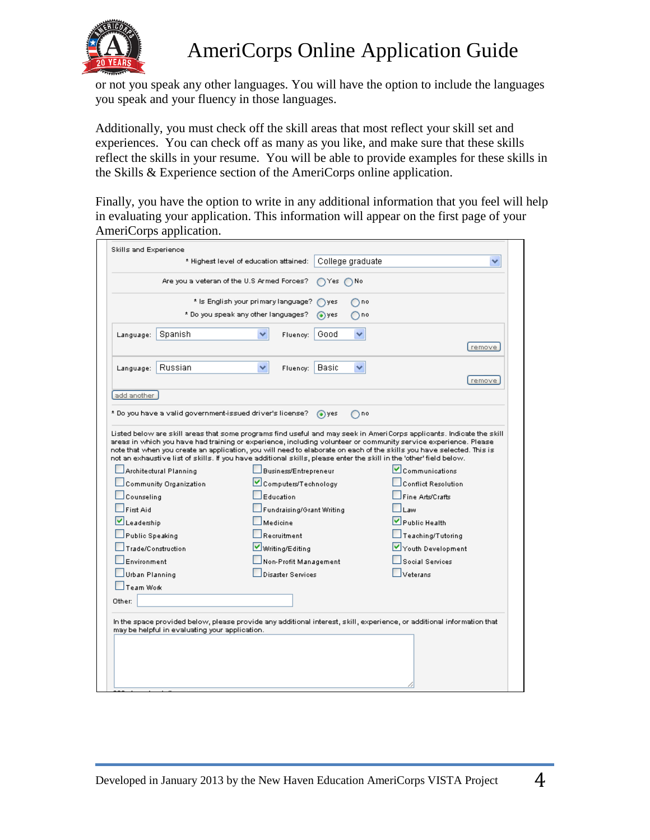

or not you speak any other languages. You will have the option to include the languages you speak and your fluency in those languages.

Additionally, you must check off the skill areas that most reflect your skill set and experiences. You can check off as many as you like, and make sure that these skills reflect the skills in your resume. You will be able to provide examples for these skills in the Skills & Experience section of the AmeriCorps online application.

Finally, you have the option to write in any additional information that you feel will help in evaluating your application. This information will appear on the first page of your AmeriCorps application.

|                                       | Skills and Experience                                                                                                  | * Highest level of education attained:             |             | College graduate                                                                                                    |                                              |         |
|---------------------------------------|------------------------------------------------------------------------------------------------------------------------|----------------------------------------------------|-------------|---------------------------------------------------------------------------------------------------------------------|----------------------------------------------|---------|
|                                       | Are you a veteran of the U.S Armed Forces?                                                                             |                                                    |             | Yes ∩No                                                                                                             |                                              |         |
|                                       |                                                                                                                        |                                                    |             |                                                                                                                     |                                              |         |
|                                       |                                                                                                                        | * Is English your primary language?                | ) yes       | no.                                                                                                                 |                                              |         |
|                                       |                                                                                                                        | * Do you speak any other languages?                | (●) ves     | no                                                                                                                  |                                              |         |
| Language:                             | Spanish                                                                                                                | Fluency:                                           | Good        | v                                                                                                                   |                                              |         |
|                                       |                                                                                                                        |                                                    |             |                                                                                                                     |                                              | remove. |
| Language:                             | Russian                                                                                                                | Fluency:                                           | Basic       | v                                                                                                                   |                                              |         |
|                                       |                                                                                                                        |                                                    |             |                                                                                                                     |                                              | remove  |
| add another                           |                                                                                                                        |                                                    |             |                                                                                                                     |                                              |         |
|                                       |                                                                                                                        |                                                    |             |                                                                                                                     |                                              |         |
|                                       | * Do you have a valid government-issued driver's license? [                                                            |                                                    | $\odot$ yes | ∩no                                                                                                                 |                                              |         |
|                                       | Architectural Planning<br>Community Organization                                                                       | Business/Entrepreneur<br>Computers/Technology      |             | not an exhaustive list of skills. If you have additional skills, please enter the skill in the 'other' field below. | Communications<br><b>Conflict Resolution</b> |         |
| Counseling<br>First Aid<br>Leadership |                                                                                                                        | Education<br>Fundraising/Grant Writing<br>Medicine |             |                                                                                                                     | Fine Arts/Crafts<br>Law<br>Public Health     |         |
| Public Speaking                       |                                                                                                                        | Recruitment                                        |             |                                                                                                                     | Teaching/Tutoring                            |         |
|                                       | Trade/Construction                                                                                                     | Writing/Editing                                    |             |                                                                                                                     | Youth Development                            |         |
| Environment                           |                                                                                                                        | Non-Profit Management                              |             |                                                                                                                     | <b>Social Senrices</b>                       |         |
| Urban Planning                        |                                                                                                                        | <b>Disaster Services</b>                           |             |                                                                                                                     | Veterans                                     |         |
| Team Work                             |                                                                                                                        |                                                    |             |                                                                                                                     |                                              |         |
| Other:                                |                                                                                                                        |                                                    |             |                                                                                                                     |                                              |         |
|                                       | In the space provided below, please provide any additional interest, skill, experience, or additional information that |                                                    |             |                                                                                                                     |                                              |         |
|                                       | may be helpful in evaluating your application.                                                                         |                                                    |             |                                                                                                                     |                                              |         |
|                                       |                                                                                                                        |                                                    |             |                                                                                                                     |                                              |         |
|                                       |                                                                                                                        |                                                    |             |                                                                                                                     |                                              |         |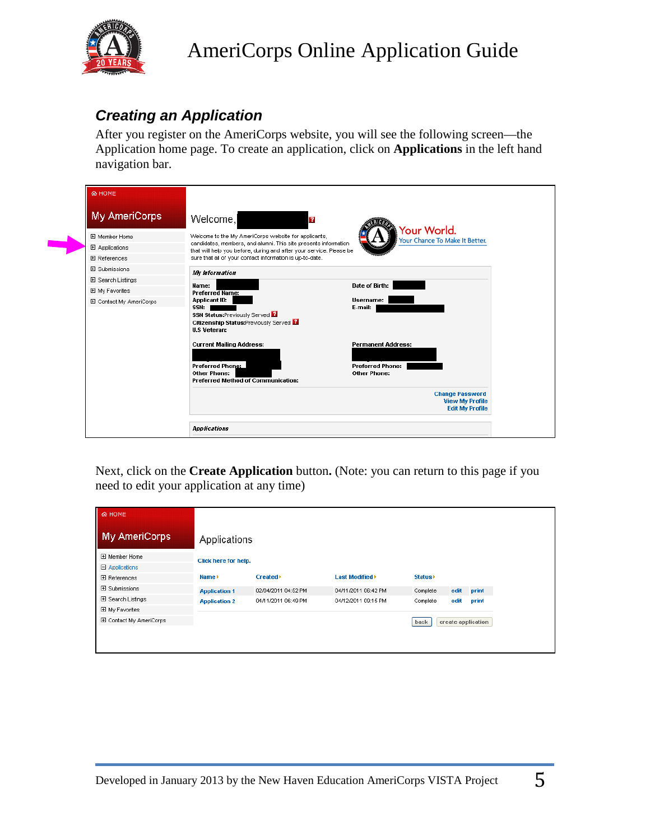

### <span id="page-4-0"></span>*Creating an Application*

After you register on the AmeriCorps website, you will see the following screen—the Application home page. To create an application, click on **Applications** in the left hand navigation bar.

| <b>&amp; HOME</b>       |                                                                                                                                        |                                                                            |
|-------------------------|----------------------------------------------------------------------------------------------------------------------------------------|----------------------------------------------------------------------------|
| <b>My AmeriCorps</b>    | Welcome,<br>$\overline{2}$                                                                                                             | Your World.                                                                |
| 田 Member Home           | Welcome to the My AmeriCorps website for applicants,                                                                                   | Your Chance To Make It Better.                                             |
| 田 Applications          | candidates, members, and alumni. This site presents information<br>that will help you before, during and after your service. Please be |                                                                            |
| <b>H</b> References     | sure that all of your contact information is up-to-date.                                                                               |                                                                            |
| 田 Submissions           | <b>My</b> information                                                                                                                  |                                                                            |
| 田 Search Listings       | Name:                                                                                                                                  | Date of Birth:                                                             |
| 田 My Favorites          | <b>Preferred Name:</b>                                                                                                                 |                                                                            |
| 田 Contact My AmeriCorps | <b>Applicant ID:</b><br>SSN:<br><b>SSN Status:Previously Served E</b><br>Citizenship Status:Previously Served E<br><b>U.S Veteran:</b> | Username:<br>E-mail:                                                       |
|                         | <b>Current Mailing Address:</b>                                                                                                        | <b>Permanent Address:</b>                                                  |
|                         | Preferred Phone:<br><b>Other Phone:</b><br><b>Preferred Method of Communication:</b>                                                   | <b>Preferred Phone:</b><br><b>Other Phone:</b>                             |
|                         |                                                                                                                                        | <b>Change Password</b><br><b>View My Profile</b><br><b>Edit My Profile</b> |
|                         | <b>Applications</b>                                                                                                                    |                                                                            |

Next, click on the **Create Application** button**.** (Note: you can return to this page if you need to edit your application at any time)

| My AmeriCorps<br>II<br>Applications<br>田 Member Home<br>Click here for help.<br>日 Applications<br>Last Modified <sup>&gt;</sup><br>Created <sup>&gt;</sup><br>Status <b>F</b><br>Name ><br>田 References<br>田 Submissions<br>Complete<br>02/04/2011 04:52 PM<br>04/11/2011 06:42 PM<br>edit<br><b>Application 1</b><br>田 Search Listings<br>04/11/2011 06:49 PM<br>04/12/2011 09:15 PM<br>edit<br>Complete<br><b>Application 2</b><br>田 My Favorites | print<br>print<br>田 Contact My AmeriCorps<br>create application<br>back | <b>&amp; HOME</b> |  |  |  |
|-----------------------------------------------------------------------------------------------------------------------------------------------------------------------------------------------------------------------------------------------------------------------------------------------------------------------------------------------------------------------------------------------------------------------------------------------------|-------------------------------------------------------------------------|-------------------|--|--|--|
|                                                                                                                                                                                                                                                                                                                                                                                                                                                     |                                                                         |                   |  |  |  |
|                                                                                                                                                                                                                                                                                                                                                                                                                                                     |                                                                         |                   |  |  |  |
|                                                                                                                                                                                                                                                                                                                                                                                                                                                     |                                                                         |                   |  |  |  |
|                                                                                                                                                                                                                                                                                                                                                                                                                                                     |                                                                         |                   |  |  |  |
|                                                                                                                                                                                                                                                                                                                                                                                                                                                     |                                                                         |                   |  |  |  |
|                                                                                                                                                                                                                                                                                                                                                                                                                                                     |                                                                         |                   |  |  |  |
|                                                                                                                                                                                                                                                                                                                                                                                                                                                     |                                                                         |                   |  |  |  |
|                                                                                                                                                                                                                                                                                                                                                                                                                                                     |                                                                         |                   |  |  |  |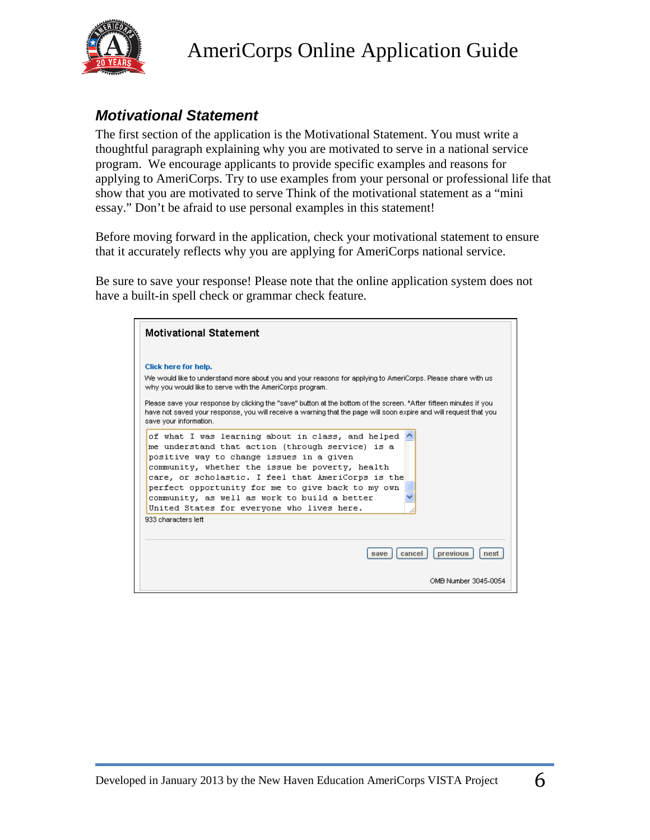

### <span id="page-5-0"></span>*Motivational Statement*

The first section of the application is the Motivational Statement. You must write a thoughtful paragraph explaining why you are motivated to serve in a national service program. We encourage applicants to provide specific examples and reasons for applying to AmeriCorps. Try to use examples from your personal or professional life that show that you are motivated to serve Think of the motivational statement as a "mini essay." Don't be afraid to use personal examples in this statement!

Before moving forward in the application, check your motivational statement to ensure that it accurately reflects why you are applying for AmeriCorps national service.

Be sure to save your response! Please note that the online application system does not have a built-in spell check or grammar check feature.

| <b>Motivational Statement</b>                                                                                                                                                                                                                                                                                                                                                                                                                                          |
|------------------------------------------------------------------------------------------------------------------------------------------------------------------------------------------------------------------------------------------------------------------------------------------------------------------------------------------------------------------------------------------------------------------------------------------------------------------------|
| Click here for help.<br>We would like to understand more about you and your reasons for applying to AmeriCorps. Please share with usi<br>why you would like to serve with the AmeriCorps program.<br>Please save your response by clicking the "save" button at the bottom of the screen. *After fifteen minutes if you<br>have not saved your response, you will receive a warning that the page will soon expire and will request that you<br>save your information. |
| of what I was learning about in class, and helped $\wedge$<br>me understand that action (through service) is a<br>positive way to change issues in a given<br>community, whether the issue be poverty, health<br>care, or scholastic. I feel that AmeriCorps is the<br>perfect opportunity for me to give back to my own<br>community, as well as work to build a better<br>United States for everyone who lives here.<br>933 characters left.                         |
| previous<br>cancel<br>nex<br>save                                                                                                                                                                                                                                                                                                                                                                                                                                      |
| OMB Number 3045-0054                                                                                                                                                                                                                                                                                                                                                                                                                                                   |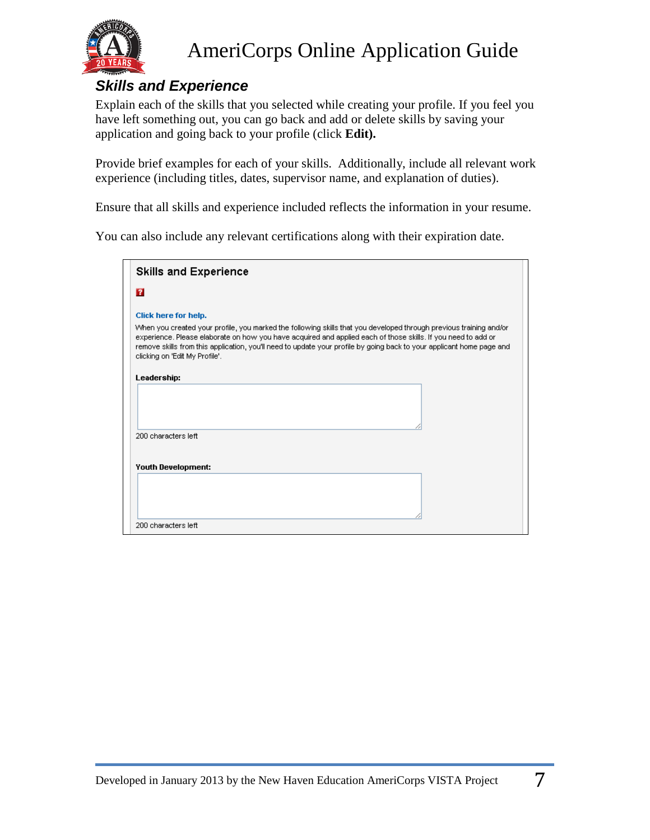

### <span id="page-6-0"></span>*Skills and Experience*

Explain each of the skills that you selected while creating your profile. If you feel you have left something out, you can go back and add or delete skills by saving your application and going back to your profile (click **Edit).** 

Provide brief examples for each of your skills. Additionally, include all relevant work experience (including titles, dates, supervisor name, and explanation of duties).

Ensure that all skills and experience included reflects the information in your resume.

You can also include any relevant certifications along with their expiration date.

| <b>Skills and Experience</b>   |                                                                                                                                                                                                                                                                                                                                                              |
|--------------------------------|--------------------------------------------------------------------------------------------------------------------------------------------------------------------------------------------------------------------------------------------------------------------------------------------------------------------------------------------------------------|
| 7                              |                                                                                                                                                                                                                                                                                                                                                              |
| Click here for help.           |                                                                                                                                                                                                                                                                                                                                                              |
| clicking on 'Edit My Profile'. | When you created your profile, you marked the following skills that you developed through previous training and/or<br>experience. Please elaborate on how you have acquired and applied each of those skills. If you need to add or<br>remove skills from this application, you'll need to update your profile by going back to your applicant home page and |
| Leadership:                    |                                                                                                                                                                                                                                                                                                                                                              |
|                                |                                                                                                                                                                                                                                                                                                                                                              |
|                                |                                                                                                                                                                                                                                                                                                                                                              |
| 200 characters left            |                                                                                                                                                                                                                                                                                                                                                              |
|                                |                                                                                                                                                                                                                                                                                                                                                              |
| <b>Youth Development:</b>      |                                                                                                                                                                                                                                                                                                                                                              |
|                                |                                                                                                                                                                                                                                                                                                                                                              |
| 200 characters left            |                                                                                                                                                                                                                                                                                                                                                              |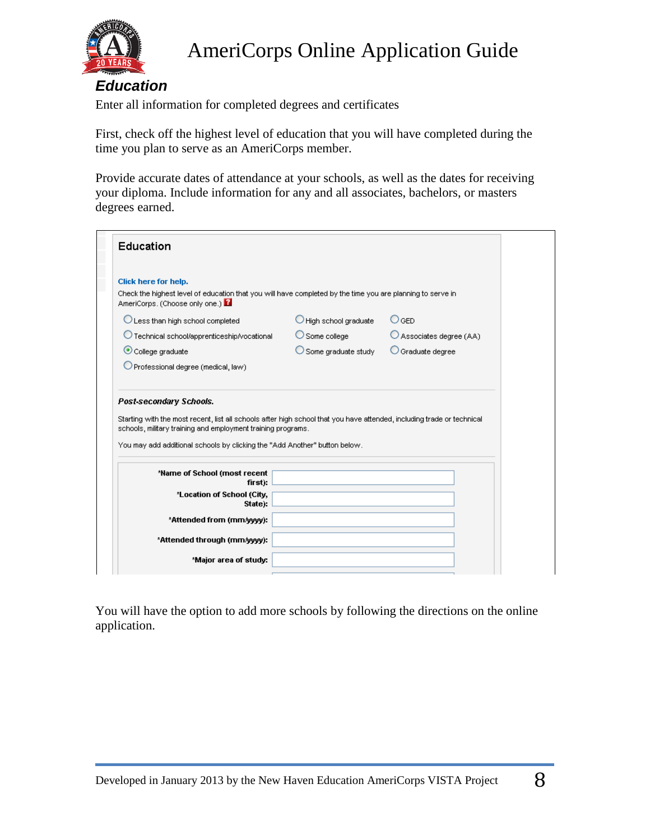

### <span id="page-7-0"></span>*Education*

Enter all information for completed degrees and certificates

First, check off the highest level of education that you will have completed during the time you plan to serve as an AmeriCorps member.

Provide accurate dates of attendance at your schools, as well as the dates for receiving your diploma. Include information for any and all associates, bachelors, or masters degrees earned.

| Education                                                                                                                                                                                                                                                                                       |                                 |                            |
|-------------------------------------------------------------------------------------------------------------------------------------------------------------------------------------------------------------------------------------------------------------------------------------------------|---------------------------------|----------------------------|
|                                                                                                                                                                                                                                                                                                 |                                 |                            |
| Click here for help.<br>Check the highest level of education that you will have completed by the time you are planning to serve in<br>AmeriCorps. (Choose only one.)                                                                                                                            |                                 |                            |
| C Less than high school completed                                                                                                                                                                                                                                                               | $\bigcirc$ High school graduate | $\bigcirc$ ged             |
| O Technical school/apprenticeship/vocational                                                                                                                                                                                                                                                    | $\bigcirc$ Some college         | Associates degree (AA)     |
| College graduate                                                                                                                                                                                                                                                                                | $\bigcirc$ Some graduate study  | $\bigcirc$ Graduate degree |
| $\bigcirc$ Professional degree (medical, law)                                                                                                                                                                                                                                                   |                                 |                            |
|                                                                                                                                                                                                                                                                                                 |                                 |                            |
| Post-secondary Schools.<br>Starting with the most recent, list all schools after high school that you have attended, including trade or technical<br>schools, military training and employment training programs.<br>You may add additional schools by clicking the "Add Another" button below. |                                 |                            |
| *Name of School (most recent                                                                                                                                                                                                                                                                    |                                 |                            |
| first):                                                                                                                                                                                                                                                                                         |                                 |                            |
| *Location of School (City,<br>State):                                                                                                                                                                                                                                                           |                                 |                            |
| *Attended from (mm/yyyy):                                                                                                                                                                                                                                                                       |                                 |                            |
| *Attended through (mm/yyyy):                                                                                                                                                                                                                                                                    |                                 |                            |

You will have the option to add more schools by following the directions on the online application.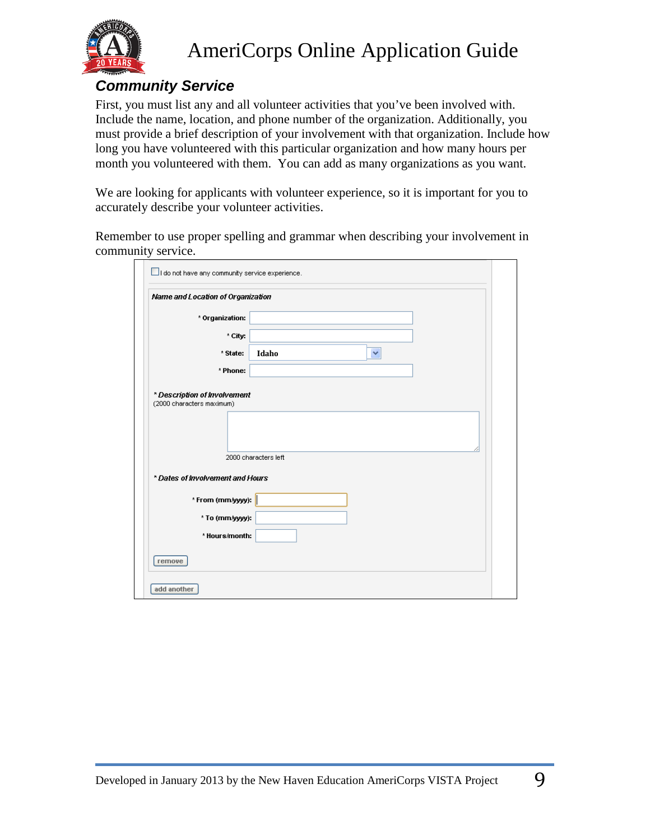

#### <span id="page-8-0"></span>*Community Service*

First, you must list any and all volunteer activities that you've been involved with. Include the name, location, and phone number of the organization. Additionally, you must provide a brief description of your involvement with that organization. Include how long you have volunteered with this particular organization and how many hours per month you volunteered with them. You can add as many organizations as you want.

We are looking for applicants with volunteer experience, so it is important for you to accurately describe your volunteer activities.

Remember to use proper spelling and grammar when describing your involvement in community service.

| Name and Location of Organization |                      |
|-----------------------------------|----------------------|
| * Organization:                   |                      |
| * City:                           |                      |
| * State:                          | Idaho<br>٧           |
| * Phone:                          |                      |
|                                   | 2000 characters left |
| * Dates of Involvement and Hours  |                      |
| * From (mm/yyyy):                 |                      |
| * To (mm/yyyy):                   |                      |
| * Hours/month:                    |                      |
|                                   |                      |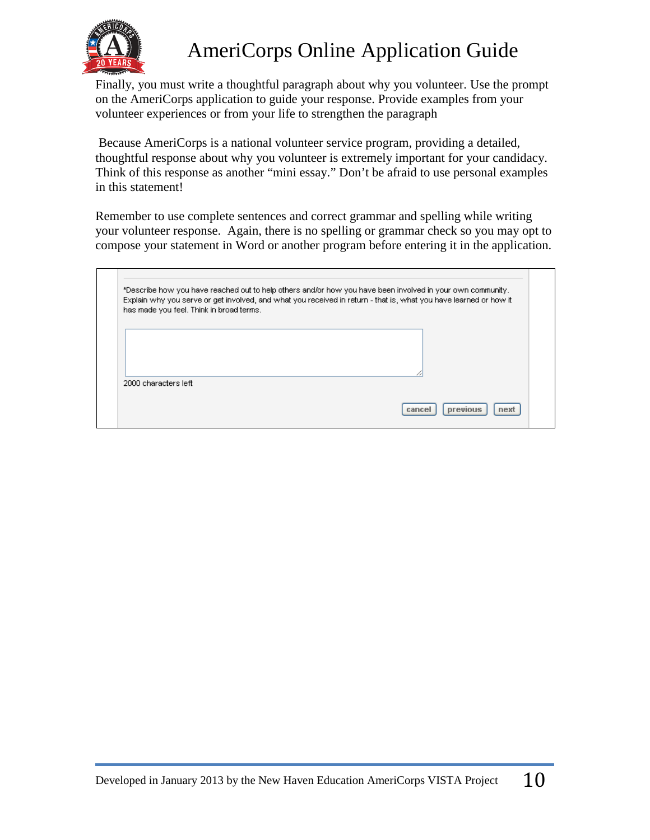

Finally, you must write a thoughtful paragraph about why you volunteer. Use the prompt on the AmeriCorps application to guide your response. Provide examples from your volunteer experiences or from your life to strengthen the paragraph

Because AmeriCorps is a national volunteer service program, providing a detailed, thoughtful response about why you volunteer is extremely important for your candidacy. Think of this response as another "mini essay." Don't be afraid to use personal examples in this statement!

Remember to use complete sentences and correct grammar and spelling while writing your volunteer response. Again, there is no spelling or grammar check so you may opt to compose your statement in Word or another program before entering it in the application.

|                      | has made you feel. Think in broad terms. |  |  |
|----------------------|------------------------------------------|--|--|
|                      |                                          |  |  |
|                      |                                          |  |  |
| 2000 characters left |                                          |  |  |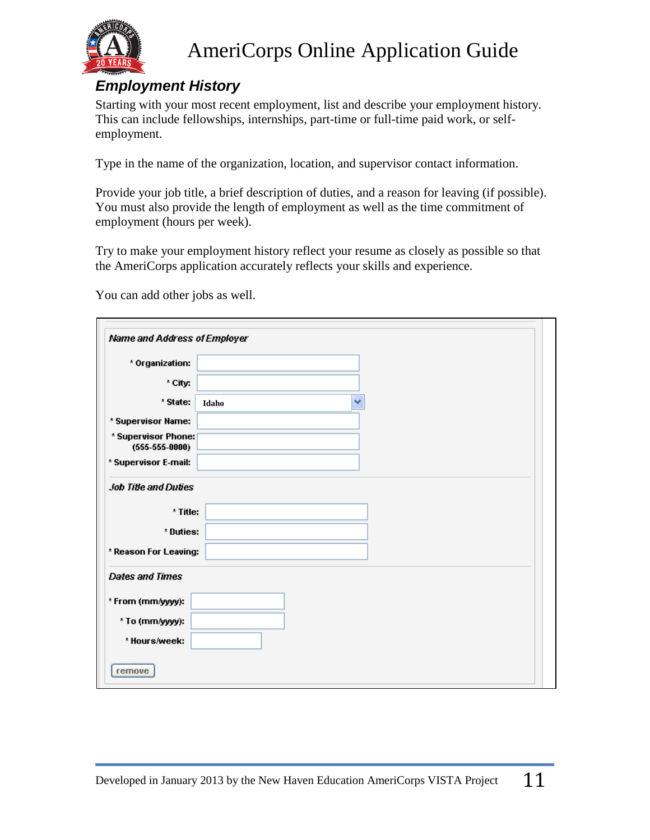

### <span id="page-10-0"></span>*Employment History*

Starting with your most recent employment, list and describe your employment history. This can include fellowships, internships, part-time or full-time paid work, or selfemployment.

Type in the name of the organization, location, and supervisor contact information.

Provide your job title, a brief description of duties, and a reason for leaving (if possible). You must also provide the length of employment as well as the time commitment of employment (hours per week).

Try to make your employment history reflect your resume as closely as possible so that the AmeriCorps application accurately reflects your skills and experience.

You can add other jobs as well.

| Name and Address of Employer            |            |
|-----------------------------------------|------------|
| * Organization:                         |            |
| * City:                                 |            |
| * State:                                | v<br>Idaho |
| * Supervisor Name:                      |            |
| * Supervisor Phone:<br>$(555-555-0000)$ |            |
| * Supervisor E-mail:                    |            |
| <b>Job Title and Duties</b>             |            |
| * Title:                                |            |
| * Duties:                               |            |
| * Reason For Leaving:                   |            |
| <b>Dates and Times</b>                  |            |
| * From (mm/yyyy):                       |            |
| * To (mm/yyyy):                         |            |
| * Hours/week:                           |            |
| remove                                  |            |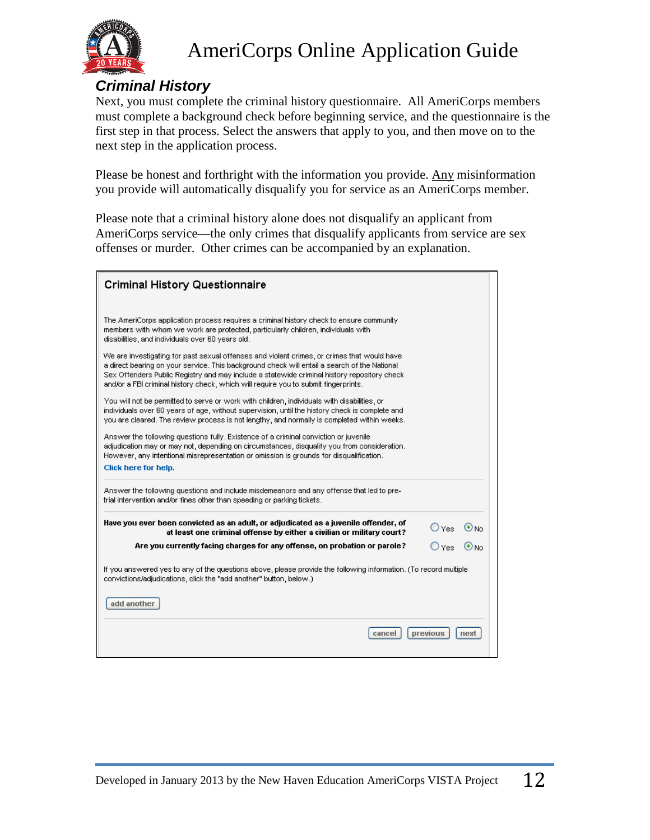

#### <span id="page-11-0"></span>*Criminal History*

Next, you must complete the criminal history questionnaire. All AmeriCorps members must complete a background check before beginning service, and the questionnaire is the first step in that process. Select the answers that apply to you, and then move on to the next step in the application process.

Please be honest and forthright with the information you provide. Any misinformation you provide will automatically disqualify you for service as an AmeriCorps member.

Please note that a criminal history alone does not disqualify an applicant from AmeriCorps service—the only crimes that disqualify applicants from service are sex offenses or murder. Other crimes can be accompanied by an explanation.

| <b>Criminal History Questionnaire</b>                                                                                                                                                                                                                                                                                                                                                                                                                                                                                                                                                                                 |          |          |
|-----------------------------------------------------------------------------------------------------------------------------------------------------------------------------------------------------------------------------------------------------------------------------------------------------------------------------------------------------------------------------------------------------------------------------------------------------------------------------------------------------------------------------------------------------------------------------------------------------------------------|----------|----------|
| The AmeriCorps application process requires a criminal history check to ensure community<br>members with whom we work are protected, particularly children, individuals with<br>disabilities, and individuals over 60 years old.<br>We are investigating for past sexual offenses and violent crimes, or crimes that would have<br>a direct bearing on your service. This background check will entail a search of the National<br>Sex Offenders Public Registry and may include a statewide criminal history repository check<br>and/or a FBI criminal history check, which will require you to submit fingerprints. |          |          |
| You will not be permitted to serve or work with children, individuals with disabilities, or<br>individuals over 60 years of age, without supervision, until the history check is complete and<br>you are cleared. The review process is not lengthy, and normally is completed within weeks.                                                                                                                                                                                                                                                                                                                          |          |          |
| Answer the following questions fully. Existence of a criminal conviction or juvenile<br>adjudication may or may not, depending on circumstances, disqualify you from consideration.<br>However, any intentional misrepresentation or omission is grounds for disqualification.<br>Click here for help.                                                                                                                                                                                                                                                                                                                |          |          |
| Answer the following questions and include misdemeanors and any offense that led to pre-<br>trial intervention and/or fines other than speeding or parking tickets.                                                                                                                                                                                                                                                                                                                                                                                                                                                   |          |          |
| Have you ever been convicted as an adult, or adjudicated as a juvenile offender, of<br>at least one criminal offense by either a civilian or military court?                                                                                                                                                                                                                                                                                                                                                                                                                                                          |          | DYes ⊙No |
| Are you currently facing charges for any offense, on probation or parole?                                                                                                                                                                                                                                                                                                                                                                                                                                                                                                                                             | Oyes Ono |          |
| If you answered yes to any of the questions above, please provide the following information. (To record multiple<br>convictions/adjudications, click the "add another" button, below.)                                                                                                                                                                                                                                                                                                                                                                                                                                |          |          |
| add another                                                                                                                                                                                                                                                                                                                                                                                                                                                                                                                                                                                                           |          |          |
| cancel                                                                                                                                                                                                                                                                                                                                                                                                                                                                                                                                                                                                                | previous | next     |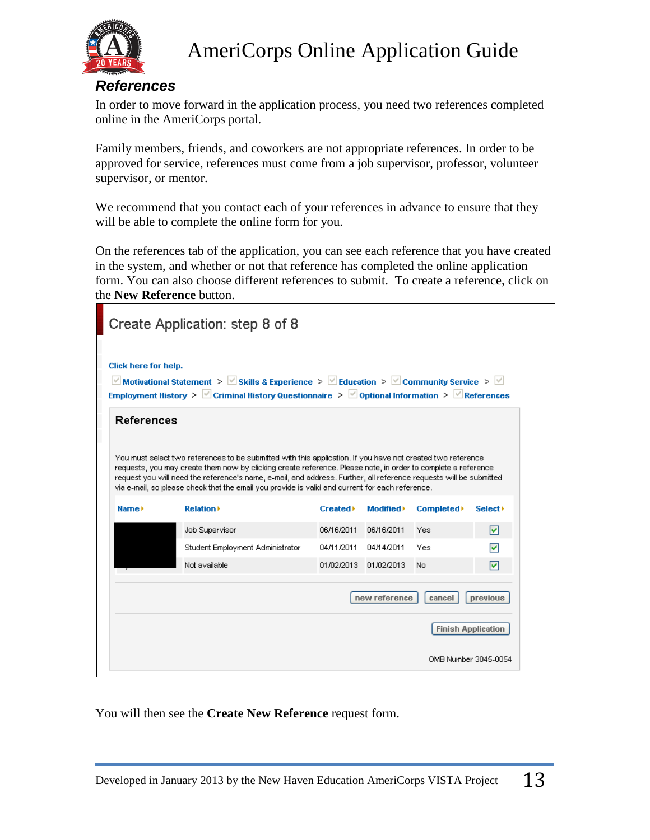

#### <span id="page-12-0"></span>*References*

In order to move forward in the application process, you need two references completed online in the AmeriCorps portal.

Family members, friends, and coworkers are not appropriate references. In order to be approved for service, references must come from a job supervisor, professor, volunteer supervisor, or mentor.

We recommend that you contact each of your references in advance to ensure that they will be able to complete the online form for you.

On the references tab of the application, you can see each reference that you have created in the system, and whether or not that reference has completed the online application form. You can also choose different references to submit. To create a reference, click on the **New Reference** button.

|                      | Create Application: step 8 of 8                                                                                                                                                                                                                                                                                                                                                                                                                       |                         |                      |                           |                           |
|----------------------|-------------------------------------------------------------------------------------------------------------------------------------------------------------------------------------------------------------------------------------------------------------------------------------------------------------------------------------------------------------------------------------------------------------------------------------------------------|-------------------------|----------------------|---------------------------|---------------------------|
| Click here for help. | Motivational Statement > $\forall$ Skills & Experience > $\forall$ Education > $\forall$ Community Service > $\forall$<br>Employment History > $\vee$ Criminal History Questionnaire > $\vee$ Optional Information > $\vee$ References                                                                                                                                                                                                                |                         |                      |                           |                           |
| References           |                                                                                                                                                                                                                                                                                                                                                                                                                                                       |                         |                      |                           |                           |
|                      | You must select two references to be submitted with this application. If you have not created two reference<br>requests, you may create them now by clicking create reference. Please note, in order to complete a reference<br>request you will need the reference's name, e-mail, and address. Further, all reference requests will be submitted<br>via e-mail, so please check that the email you provide is valid and current for each reference. |                         |                      |                           |                           |
| Name >               | <b>Relation</b>                                                                                                                                                                                                                                                                                                                                                                                                                                       | Created <sup>&gt;</sup> | Modified <b>&gt;</b> | Completed <sup>&gt;</sup> | Select <b>&gt;</b>        |
|                      | Job Supervisor                                                                                                                                                                                                                                                                                                                                                                                                                                        | 06/16/2011              | 06/16/2011           | Yes                       | 罓                         |
|                      | Student Employment Administrator                                                                                                                                                                                                                                                                                                                                                                                                                      | 04/11/2011              | 04/14/2011           | Yes                       | ☑                         |
|                      | Not available                                                                                                                                                                                                                                                                                                                                                                                                                                         | 01/02/2013              | 01/02/2013           | No.                       | 罓                         |
|                      |                                                                                                                                                                                                                                                                                                                                                                                                                                                       |                         | new reference        | cancel                    | previous                  |
|                      |                                                                                                                                                                                                                                                                                                                                                                                                                                                       |                         |                      |                           | <b>Finish Application</b> |
|                      |                                                                                                                                                                                                                                                                                                                                                                                                                                                       |                         |                      | OMB Number 3045-0054      |                           |

You will then see the **Create New Reference** request form.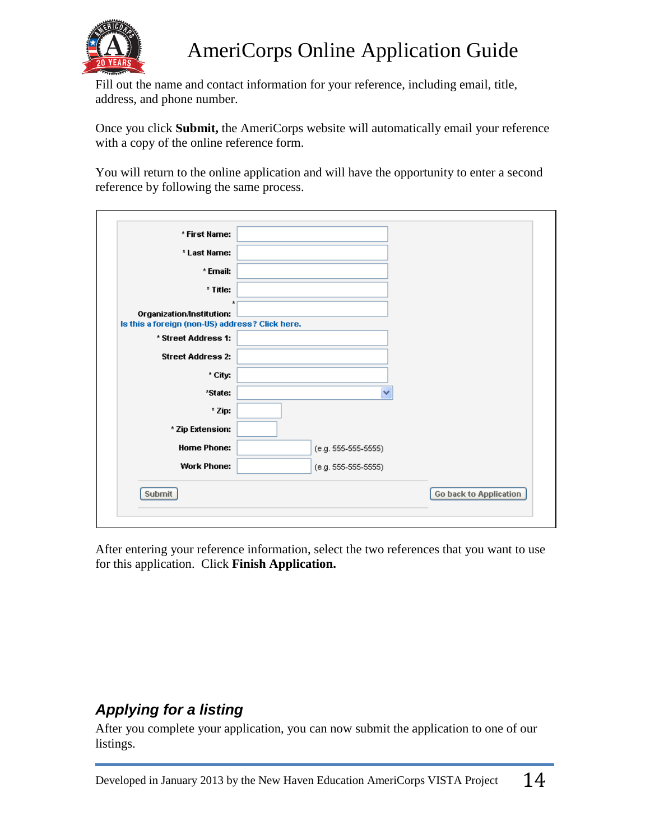

Fill out the name and contact information for your reference, including email, title, address, and phone number.

Once you click **Submit,** the AmeriCorps website will automatically email your reference with a copy of the online reference form.

You will return to the online application and will have the opportunity to enter a second reference by following the same process.

| * First Name:                                                                           |                       |                               |
|-----------------------------------------------------------------------------------------|-----------------------|-------------------------------|
| * Last Name:                                                                            |                       |                               |
| * Email:                                                                                |                       |                               |
| * Title:                                                                                |                       |                               |
| $\star$<br>Organization/Institution:<br>Is this a foreign (non-US) address? Click here. |                       |                               |
| * Street Address 1:                                                                     |                       |                               |
| <b>Street Address 2:</b>                                                                |                       |                               |
| * City:                                                                                 |                       |                               |
| *State:                                                                                 | v                     |                               |
| * Zip:                                                                                  |                       |                               |
| * Zip Extension:                                                                        |                       |                               |
| <b>Home Phone:</b>                                                                      | $(e.g. 555-555-5555)$ |                               |
| <b>Work Phone:</b>                                                                      | $(e.g. 555-555-5555)$ |                               |
| Submit                                                                                  |                       | <b>Go back to Application</b> |

After entering your reference information, select the two references that you want to use for this application. Click **Finish Application.**

### <span id="page-13-0"></span>*Applying for a listing*

After you complete your application, you can now submit the application to one of our listings.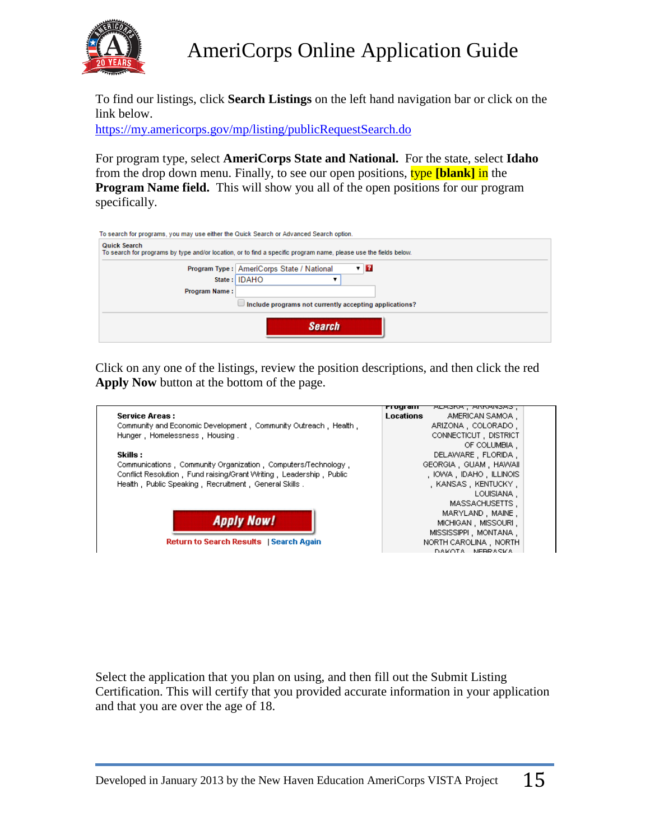

To find our listings, click **Search Listings** on the left hand navigation bar or click on the link below.

<https://my.americorps.gov/mp/listing/publicRequestSearch.do>

For program type, select **AmeriCorps State and National.** For the state, select **Idaho** from the drop down menu. Finally, to see our open positions, type **[blank]** in the **Program Name field.** This will show you all of the open positions for our program specifically.

| To search for programs, you may use either the Quick Search or Advanced Search option.                                                  |
|-----------------------------------------------------------------------------------------------------------------------------------------|
| <b>Quick Search</b><br>To search for programs by type and/or location, or to find a specific program name, please use the fields below. |
| $\mathbf{v}$ $\mathbf{R}$<br>Program Type: AmeriCorps State / National                                                                  |
| State: IDAHO                                                                                                                            |
| Program Name:                                                                                                                           |
| Include programs not currently accepting applications?                                                                                  |
| <b>Search</b>                                                                                                                           |

Click on any one of the listings, review the position descriptions, and then click the red **Apply Now** button at the bottom of the page.

|                                                                     | १७ एक ग्रा<br>ALASNA, ARRANSAS,     |  |
|---------------------------------------------------------------------|-------------------------------------|--|
| <b>Service Areas:</b>                                               | <b>Locations</b><br>AMERICAN SAMOA. |  |
| Community and Economic Development, Community Outreach, Health,     | ARIZONA, COLORADO,                  |  |
| Hunger, Homelessness, Housing.                                      | CONNECTICUT, DISTRICT               |  |
|                                                                     | OF COLUMBIA.                        |  |
| Skills :                                                            | DELAWARE, FLORIDA.                  |  |
| Communications, Community Organization, Computers/Technology,       | GEORGIA, GUAM, HAWAII               |  |
| Conflict Resolution, Fund raising/Grant Writing, Leadership, Public | , IOWA , IDAHO , ILLINOIS           |  |
| Health, Public Speaking, Recruitment, General Skills,               | , KANSAS, KENTUCKY,                 |  |
|                                                                     | LOUISIANA.                          |  |
|                                                                     | MASSACHUSETTS,                      |  |
|                                                                     | MARYLAND, MAINE,                    |  |
| <b>Apply Now!</b>                                                   | MICHIGAN MISSOURI.                  |  |
|                                                                     | MISSISSIPPI, MONTANA,               |  |
| <b>Return to Search Results</b>   Search Again                      | NORTH CAROLINA, NORTH               |  |
|                                                                     | DAMOTA NEBRASMA                     |  |

Select the application that you plan on using, and then fill out the Submit Listing Certification. This will certify that you provided accurate information in your application and that you are over the age of 18.